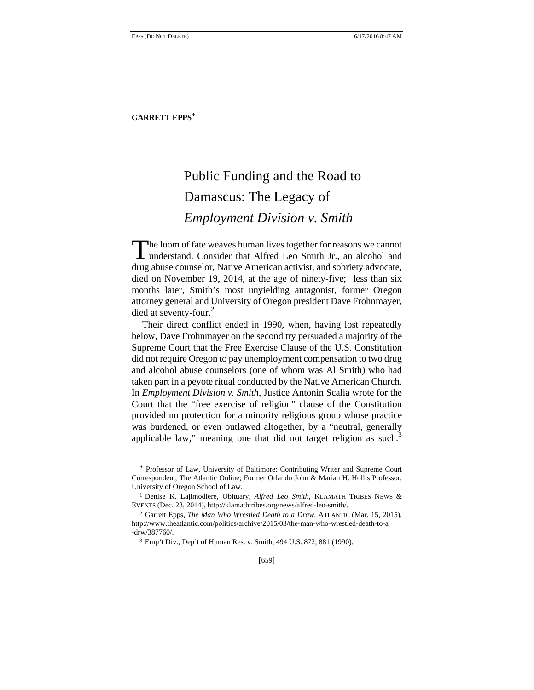## Public Funding and the Road to Damascus: The Legacy of *Employment Division v. Smith*

The loom of fate weaves human lives together for reasons we cannot The loom of fate weaves human lives together for reasons we cannot understand. Consider that Alfred Leo Smith Jr., an alcohol and drug abuse counselor, Native American activist, and sobriety advocate, died on November 19, 2014, at the age of ninety-five;<sup>1</sup> less than six months later, Smith's most unyielding antagonist, former Oregon attorney general and University of Oregon president Dave Frohnmayer, died at seventy-four.<sup>2</sup>

Their direct conflict ended in 1990, when, having lost repeatedly below, Dave Frohnmayer on the second try persuaded a majority of the Supreme Court that the Free Exercise Clause of the U.S. Constitution did not require Oregon to pay unemployment compensation to two drug and alcohol abuse counselors (one of whom was Al Smith) who had taken part in a peyote ritual conducted by the Native American Church. In *Employment Division v. Smith*, Justice Antonin Scalia wrote for the Court that the "free exercise of religion" clause of the Constitution provided no protection for a minority religious group whose practice was burdened, or even outlawed altogether, by a "neutral, generally applicable law," meaning one that did not target religion as such.<sup>3</sup>

[659]

<sup>\*</sup> Professor of Law, University of Baltimore; Contributing Writer and Supreme Court Correspondent, The Atlantic Online; Former Orlando John & Marian H. Hollis Professor, University of Oregon School of Law.

<sup>1</sup> Denise K. Lajimodiere, Obituary, *Alfred Leo Smith*, KLAMATH TRIBES NEWS & EVENTS (Dec. 23, 2014), http://klamathtribes.org/news/alfred-leo-smith/.

<sup>2</sup> Garrett Epps, *The Man Who Wrestled Death to a Draw*, ATLANTIC (Mar. 15, 2015), http://www.theatlantic.com/politics/archive/2015/03/the-man-who-wrestled-death-to-a -drw/387760/.

<sup>3</sup> Emp't Div., Dep't of Human Res. v. Smith, 494 U.S. 872, 881 (1990).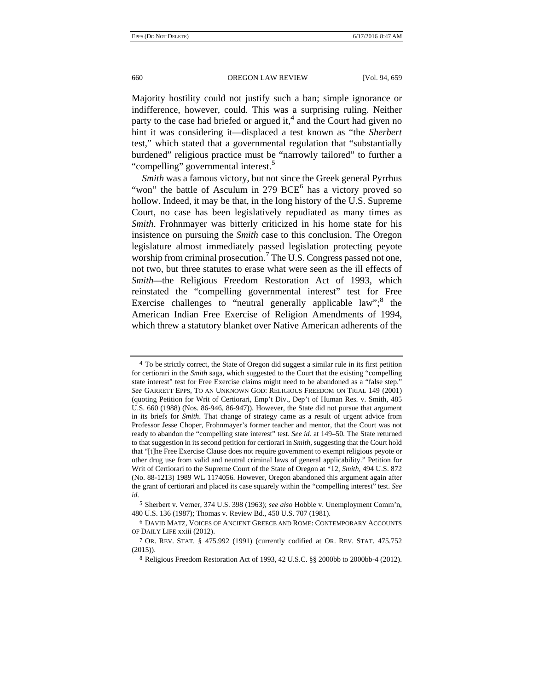Majority hostility could not justify such a ban; simple ignorance or indifference, however, could. This was a surprising ruling. Neither party to the case had briefed or argued it,<sup>4</sup> and the Court had given no hint it was considering it—displaced a test known as "the *Sherbert*  test," which stated that a governmental regulation that "substantially burdened" religious practice must be "narrowly tailored" to further a "compelling" governmental interest.<sup>5</sup>

*Smith* was a famous victory, but not since the Greek general Pyrrhus "won" the battle of Asculum in 279 BCE<sup>6</sup> has a victory proved so hollow. Indeed, it may be that, in the long history of the U.S. Supreme Court, no case has been legislatively repudiated as many times as *Smith*. Frohnmayer was bitterly criticized in his home state for his insistence on pursuing the *Smith* case to this conclusion. The Oregon legislature almost immediately passed legislation protecting peyote worship from criminal prosecution.<sup>7</sup> The U.S. Congress passed not one, not two, but three statutes to erase what were seen as the ill effects of *Smith—*the Religious Freedom Restoration Act of 1993, which reinstated the "compelling governmental interest" test for Free Exercise challenges to "neutral generally applicable law";<sup>8</sup> the American Indian Free Exercise of Religion Amendments of 1994, which threw a statutory blanket over Native American adherents of the

<sup>4</sup> To be strictly correct, the State of Oregon did suggest a similar rule in its first petition for certiorari in the *Smith* saga, which suggested to the Court that the existing "compelling state interest" test for Free Exercise claims might need to be abandoned as a "false step." *See* GARRETT EPPS, TO AN UNKNOWN GOD: RELIGIOUS FREEDOM ON TRIAL 149 (2001) (quoting Petition for Writ of Certiorari, Emp't Div., Dep't of Human Res. v. Smith, 485 U.S. 660 (1988) (Nos. 86-946, 86-947)). However, the State did not pursue that argument in its briefs for *Smith*. That change of strategy came as a result of urgent advice from Professor Jesse Choper, Frohnmayer's former teacher and mentor, that the Court was not ready to abandon the "compelling state interest" test. *See id.* at 149–50. The State returned to that suggestion in its second petition for certiorari in *Smith*, suggesting that the Court hold that "[t]he Free Exercise Clause does not require government to exempt religious peyote or other drug use from valid and neutral criminal laws of general applicability." Petition for Writ of Certiorari to the Supreme Court of the State of Oregon at \*12, *Smith*, 494 U.S. 872 (No. 88-1213) 1989 WL 1174056. However, Oregon abandoned this argument again after the grant of certiorari and placed its case squarely within the "compelling interest" test. *See id.*

<sup>5</sup> Sherbert v. Verner, 374 U.S. 398 (1963); *see also* Hobbie v. Unemployment Comm'n, 480 U.S. 136 (1987); Thomas v. Review Bd., 450 U.S. 707 (1981).

<sup>6</sup> DAVID MATZ, VOICES OF ANCIENT GREECE AND ROME: CONTEMPORARY ACCOUNTS OF DAILY LIFE xxiii (2012).

<sup>7</sup> OR. REV. STAT. § 475.992 (1991) (currently codified at OR. REV. STAT. 475.752  $(2015)$ ).

<sup>8</sup> Religious Freedom Restoration Act of 1993, 42 U.S.C. §§ 2000bb to 2000bb-4 (2012).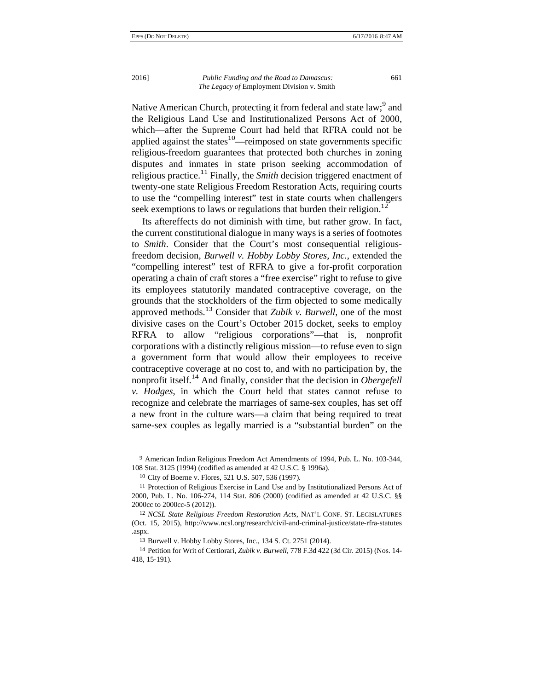Native American Church, protecting it from federal and state law;<sup>9</sup> and the Religious Land Use and Institutionalized Persons Act of 2000, which—after the Supreme Court had held that RFRA could not be applied against the states<sup>10</sup>—reimposed on state governments specific religious-freedom guarantees that protected both churches in zoning disputes and inmates in state prison seeking accommodation of religious practice.<sup>11</sup> Finally, the *Smith* decision triggered enactment of twenty-one state Religious Freedom Restoration Acts, requiring courts to use the "compelling interest" test in state courts when challengers seek exemptions to laws or regulations that burden their religion.<sup>12</sup>

Its aftereffects do not diminish with time, but rather grow. In fact, the current constitutional dialogue in many ways is a series of footnotes to *Smith*. Consider that the Court's most consequential religiousfreedom decision, *Burwell v. Hobby Lobby Stores, Inc.*, extended the "compelling interest" test of RFRA to give a for-profit corporation operating a chain of craft stores a "free exercise" right to refuse to give its employees statutorily mandated contraceptive coverage, on the grounds that the stockholders of the firm objected to some medically approved methods.13 Consider that *Zubik v. Burwell*, one of the most divisive cases on the Court's October 2015 docket, seeks to employ RFRA to allow "religious corporations"—that is, nonprofit corporations with a distinctly religious mission—to refuse even to sign a government form that would allow their employees to receive contraceptive coverage at no cost to, and with no participation by, the nonprofit itself.<sup>14</sup> And finally, consider that the decision in *Obergefell v. Hodges*, in which the Court held that states cannot refuse to recognize and celebrate the marriages of same-sex couples, has set off a new front in the culture wars—a claim that being required to treat same-sex couples as legally married is a "substantial burden" on the

<sup>9</sup> American Indian Religious Freedom Act Amendments of 1994, Pub. L. No. 103-344, 108 Stat. 3125 (1994) (codified as amended at 42 U.S.C. § 1996a).

<sup>10</sup> City of Boerne v. Flores, 521 U.S. 507, 536 (1997).

<sup>11</sup> Protection of Religious Exercise in Land Use and by Institutionalized Persons Act of 2000, Pub. L. No. 106-274, 114 Stat. 806 (2000) (codified as amended at 42 U.S.C. §§ 2000cc to 2000cc-5 (2012)).

<sup>12</sup> *NCSL State Religious Freedom Restoration Acts*, NAT'L CONF. ST. LEGISLATURES (Oct. 15, 2015), http://www.ncsl.org/research/civil-and-criminal-justice/state-rfra-statutes .aspx.

<sup>13</sup> Burwell v. Hobby Lobby Stores, Inc., 134 S. Ct. 2751 (2014).

<sup>14</sup> Petition for Writ of Certiorari, *Zubik v. Burwell*, 778 F.3d 422 (3d Cir. 2015) (Nos. 14- 418, 15-191).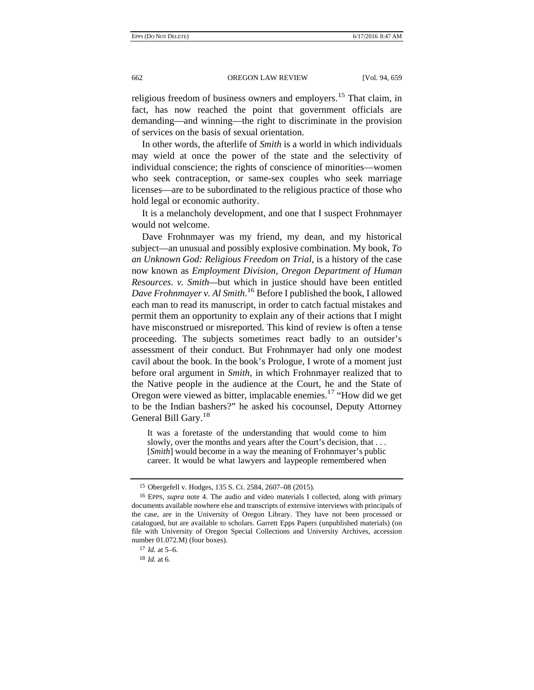religious freedom of business owners and employers.<sup>15</sup> That claim, in fact, has now reached the point that government officials are demanding—and winning—the right to discriminate in the provision of services on the basis of sexual orientation.

In other words, the afterlife of *Smith* is a world in which individuals may wield at once the power of the state and the selectivity of individual conscience; the rights of conscience of minorities—women who seek contraception, or same-sex couples who seek marriage licenses—are to be subordinated to the religious practice of those who hold legal or economic authority.

It is a melancholy development, and one that I suspect Frohnmayer would not welcome.

Dave Frohnmayer was my friend, my dean, and my historical subject—an unusual and possibly explosive combination. My book, *To an Unknown God: Religious Freedom on Trial*, is a history of the case now known as *Employment Division, Oregon Department of Human Resources. v. Smith—*but which in justice should have been entitled *Dave Frohnmayer v. Al Smith*. <sup>16</sup> Before I published the book, I allowed each man to read its manuscript, in order to catch factual mistakes and permit them an opportunity to explain any of their actions that I might have misconstrued or misreported. This kind of review is often a tense proceeding. The subjects sometimes react badly to an outsider's assessment of their conduct. But Frohnmayer had only one modest cavil about the book. In the book's Prologue, I wrote of a moment just before oral argument in *Smith*, in which Frohnmayer realized that to the Native people in the audience at the Court, he and the State of Oregon were viewed as bitter, implacable enemies.17 "How did we get to be the Indian bashers?" he asked his cocounsel, Deputy Attorney General Bill Gary.<sup>18</sup>

It was a foretaste of the understanding that would come to him slowly, over the months and years after the Court's decision, that ... [*Smith*] would become in a way the meaning of Frohnmayer's public career. It would be what lawyers and laypeople remembered when

<sup>15</sup> Obergefell v. Hodges, 135 S. Ct. 2584, 2607–08 (2015).

<sup>16</sup> EPPS, *supra* note 4. The audio and video materials I collected, along with primary documents available nowhere else and transcripts of extensive interviews with principals of the case, are in the University of Oregon Library. They have not been processed or catalogued, but are available to scholars. Garrett Epps Papers (unpublished materials) (on file with University of Oregon Special Collections and University Archives, accession number 01.072.M) (four boxes).

<sup>17</sup> *Id.* at 5–6.

<sup>18</sup> *Id.* at 6.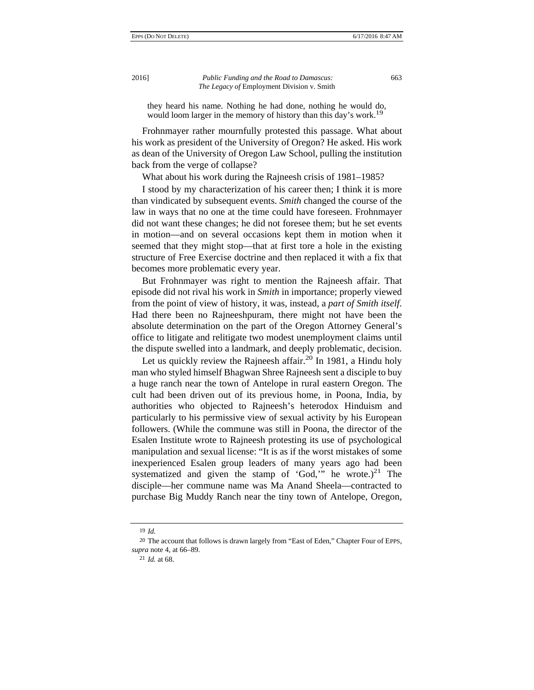they heard his name. Nothing he had done, nothing he would do, would loom larger in the memory of history than this day's work.<sup>19</sup>

Frohnmayer rather mournfully protested this passage. What about his work as president of the University of Oregon? He asked. His work as dean of the University of Oregon Law School, pulling the institution back from the verge of collapse?

What about his work during the Rajneesh crisis of 1981–1985?

I stood by my characterization of his career then; I think it is more than vindicated by subsequent events. *Smith* changed the course of the law in ways that no one at the time could have foreseen. Frohnmayer did not want these changes; he did not foresee them; but he set events in motion—and on several occasions kept them in motion when it seemed that they might stop—that at first tore a hole in the existing structure of Free Exercise doctrine and then replaced it with a fix that becomes more problematic every year.

But Frohnmayer was right to mention the Rajneesh affair. That episode did not rival his work in *Smith* in importance; properly viewed from the point of view of history, it was, instead, a *part of Smith itself*. Had there been no Rajneeshpuram, there might not have been the absolute determination on the part of the Oregon Attorney General's office to litigate and relitigate two modest unemployment claims until the dispute swelled into a landmark, and deeply problematic, decision.

Let us quickly review the Rajneesh affair.<sup>20</sup> In 1981, a Hindu holy man who styled himself Bhagwan Shree Rajneesh sent a disciple to buy a huge ranch near the town of Antelope in rural eastern Oregon. The cult had been driven out of its previous home, in Poona, India, by authorities who objected to Rajneesh's heterodox Hinduism and particularly to his permissive view of sexual activity by his European followers. (While the commune was still in Poona, the director of the Esalen Institute wrote to Rajneesh protesting its use of psychological manipulation and sexual license: "It is as if the worst mistakes of some inexperienced Esalen group leaders of many years ago had been systematized and given the stamp of 'God,'" he wrote.)<sup>21</sup> The disciple—her commune name was Ma Anand Sheela—contracted to purchase Big Muddy Ranch near the tiny town of Antelope, Oregon,

<sup>19</sup> *Id.*

<sup>20</sup> The account that follows is drawn largely from "East of Eden," Chapter Four of EPPS, *supra* note 4, at 66–89.

<sup>21</sup> *Id.* at 68.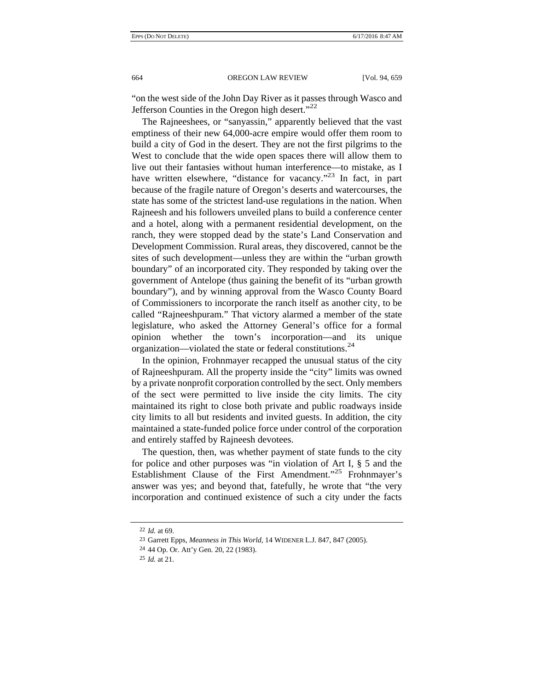"on the west side of the John Day River as it passes through Wasco and Jefferson Counties in the Oregon high desert."<sup>22</sup>

The Rajneeshees, or "sanyassin," apparently believed that the vast emptiness of their new 64,000-acre empire would offer them room to build a city of God in the desert. They are not the first pilgrims to the West to conclude that the wide open spaces there will allow them to live out their fantasies without human interference—to mistake, as I have written elsewhere, "distance for vacancy."<sup>23</sup> In fact, in part because of the fragile nature of Oregon's deserts and watercourses, the state has some of the strictest land-use regulations in the nation. When Rajneesh and his followers unveiled plans to build a conference center and a hotel, along with a permanent residential development, on the ranch, they were stopped dead by the state's Land Conservation and Development Commission. Rural areas, they discovered, cannot be the sites of such development—unless they are within the "urban growth boundary" of an incorporated city. They responded by taking over the government of Antelope (thus gaining the benefit of its "urban growth boundary"), and by winning approval from the Wasco County Board of Commissioners to incorporate the ranch itself as another city, to be called "Rajneeshpuram." That victory alarmed a member of the state legislature, who asked the Attorney General's office for a formal opinion whether the town's incorporation—and its unique organization—violated the state or federal constitutions.<sup>24</sup>

In the opinion, Frohnmayer recapped the unusual status of the city of Rajneeshpuram. All the property inside the "city" limits was owned by a private nonprofit corporation controlled by the sect. Only members of the sect were permitted to live inside the city limits. The city maintained its right to close both private and public roadways inside city limits to all but residents and invited guests. In addition, the city maintained a state-funded police force under control of the corporation and entirely staffed by Rajneesh devotees.

The question, then, was whether payment of state funds to the city for police and other purposes was "in violation of Art I, § 5 and the Establishment Clause of the First Amendment."25 Frohnmayer's answer was yes; and beyond that, fatefully, he wrote that "the very incorporation and continued existence of such a city under the facts

<sup>22</sup> *Id.* at 69.

<sup>23</sup> Garrett Epps, *Meanness in This World*, 14 WIDENER L.J. 847, 847 (2005).

<sup>24</sup> 44 Op. Or. Att'y Gen. 20, 22 (1983).

<sup>25</sup> *Id.* at 21.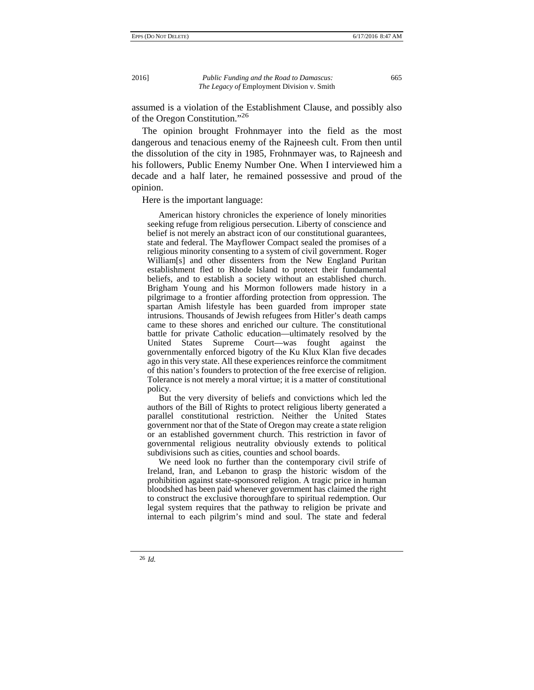assumed is a violation of the Establishment Clause, and possibly also of the Oregon Constitution."26

The opinion brought Frohnmayer into the field as the most dangerous and tenacious enemy of the Rajneesh cult. From then until the dissolution of the city in 1985, Frohnmayer was, to Rajneesh and his followers, Public Enemy Number One. When I interviewed him a decade and a half later, he remained possessive and proud of the opinion.

Here is the important language:

 American history chronicles the experience of lonely minorities seeking refuge from religious persecution. Liberty of conscience and belief is not merely an abstract icon of our constitutional guarantees, state and federal. The Mayflower Compact sealed the promises of a religious minority consenting to a system of civil government. Roger William[s] and other dissenters from the New England Puritan establishment fled to Rhode Island to protect their fundamental beliefs, and to establish a society without an established church. Brigham Young and his Mormon followers made history in a pilgrimage to a frontier affording protection from oppression. The spartan Amish lifestyle has been guarded from improper state intrusions. Thousands of Jewish refugees from Hitler's death camps came to these shores and enriched our culture. The constitutional battle for private Catholic education—ultimately resolved by the United States Supreme Court—was fought against the governmentally enforced bigotry of the Ku Klux Klan five decades ago in this very state. All these experiences reinforce the commitment of this nation's founders to protection of the free exercise of religion. Tolerance is not merely a moral virtue; it is a matter of constitutional policy.

 But the very diversity of beliefs and convictions which led the authors of the Bill of Rights to protect religious liberty generated a parallel constitutional restriction. Neither the United States government nor that of the State of Oregon may create a state religion or an established government church. This restriction in favor of governmental religious neutrality obviously extends to political subdivisions such as cities, counties and school boards.

 We need look no further than the contemporary civil strife of Ireland, Iran, and Lebanon to grasp the historic wisdom of the prohibition against state-sponsored religion. A tragic price in human bloodshed has been paid whenever government has claimed the right to construct the exclusive thoroughfare to spiritual redemption. Our legal system requires that the pathway to religion be private and internal to each pilgrim's mind and soul. The state and federal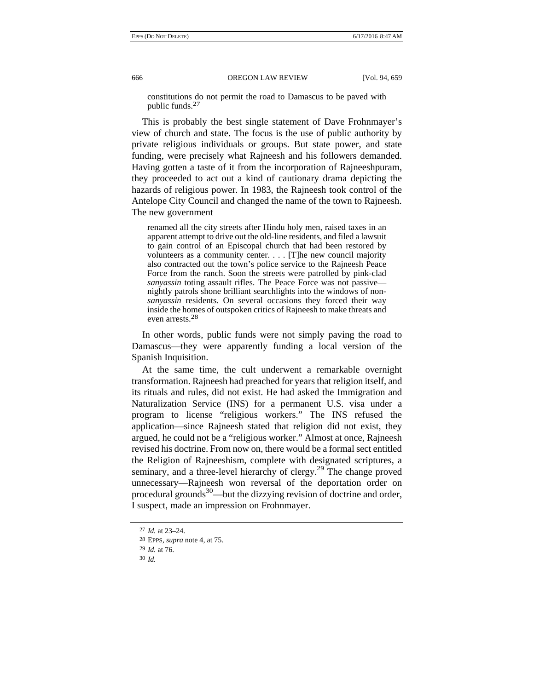constitutions do not permit the road to Damascus to be paved with public funds.27

This is probably the best single statement of Dave Frohnmayer's view of church and state. The focus is the use of public authority by private religious individuals or groups. But state power, and state funding, were precisely what Rajneesh and his followers demanded. Having gotten a taste of it from the incorporation of Rajneeshpuram, they proceeded to act out a kind of cautionary drama depicting the hazards of religious power. In 1983, the Rajneesh took control of the Antelope City Council and changed the name of the town to Rajneesh. The new government

renamed all the city streets after Hindu holy men, raised taxes in an apparent attempt to drive out the old-line residents, and filed a lawsuit to gain control of an Episcopal church that had been restored by volunteers as a community center. . . . [T]he new council majority also contracted out the town's police service to the Rajneesh Peace Force from the ranch. Soon the streets were patrolled by pink-clad *sanyassin* toting assault rifles. The Peace Force was not passive nightly patrols shone brilliant searchlights into the windows of non*sanyassin* residents. On several occasions they forced their way inside the homes of outspoken critics of Rajneesh to make threats and even arrests.28

In other words, public funds were not simply paving the road to Damascus—they were apparently funding a local version of the Spanish Inquisition.

At the same time, the cult underwent a remarkable overnight transformation. Rajneesh had preached for years that religion itself, and its rituals and rules, did not exist. He had asked the Immigration and Naturalization Service (INS) for a permanent U.S. visa under a program to license "religious workers." The INS refused the application—since Rajneesh stated that religion did not exist, they argued, he could not be a "religious worker." Almost at once, Rajneesh revised his doctrine. From now on, there would be a formal sect entitled the Religion of Rajneeshism, complete with designated scriptures, a seminary, and a three-level hierarchy of clergy.<sup>29</sup> The change proved unnecessary—Rajneesh won reversal of the deportation order on procedural grounds<sup>30</sup>—but the dizzying revision of doctrine and order, I suspect, made an impression on Frohnmayer.

<sup>27</sup> *Id.* at 23–24.

<sup>28</sup> EPPS, *supra* note 4, at 75.

<sup>29</sup> *Id.* at 76.

<sup>30</sup> *Id.*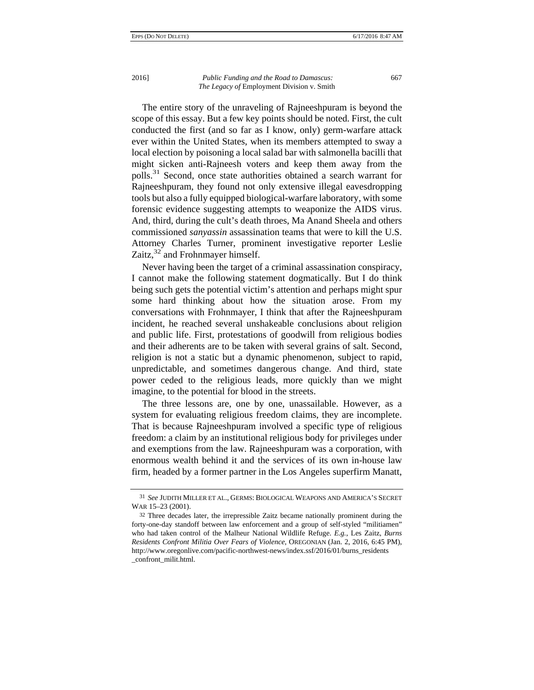The entire story of the unraveling of Rajneeshpuram is beyond the scope of this essay. But a few key points should be noted. First, the cult conducted the first (and so far as I know, only) germ-warfare attack ever within the United States, when its members attempted to sway a local election by poisoning a local salad bar with salmonella bacilli that might sicken anti-Rajneesh voters and keep them away from the polls.31 Second, once state authorities obtained a search warrant for Rajneeshpuram, they found not only extensive illegal eavesdropping tools but also a fully equipped biological-warfare laboratory, with some forensic evidence suggesting attempts to weaponize the AIDS virus. And, third, during the cult's death throes, Ma Anand Sheela and others commissioned *sanyassin* assassination teams that were to kill the U.S. Attorney Charles Turner, prominent investigative reporter Leslie Zaitz, $32$  and Frohnmayer himself.

Never having been the target of a criminal assassination conspiracy, I cannot make the following statement dogmatically. But I do think being such gets the potential victim's attention and perhaps might spur some hard thinking about how the situation arose. From my conversations with Frohnmayer, I think that after the Rajneeshpuram incident, he reached several unshakeable conclusions about religion and public life. First, protestations of goodwill from religious bodies and their adherents are to be taken with several grains of salt. Second, religion is not a static but a dynamic phenomenon, subject to rapid, unpredictable, and sometimes dangerous change. And third, state power ceded to the religious leads, more quickly than we might imagine, to the potential for blood in the streets.

The three lessons are, one by one, unassailable. However, as a system for evaluating religious freedom claims, they are incomplete. That is because Rajneeshpuram involved a specific type of religious freedom: a claim by an institutional religious body for privileges under and exemptions from the law. Rajneeshpuram was a corporation, with enormous wealth behind it and the services of its own in-house law firm, headed by a former partner in the Los Angeles superfirm Manatt,

<sup>31</sup> *See* JUDITH MILLER ET AL., GERMS: BIOLOGICAL WEAPONS AND AMERICA'S SECRET WAR 15–23 (2001).

<sup>32</sup> Three decades later, the irrepressible Zaitz became nationally prominent during the forty-one-day standoff between law enforcement and a group of self-styled "militiamen" who had taken control of the Malheur National Wildlife Refuge. *E.g.*, Les Zaitz, *Burns Residents Confront Militia Over Fears of Violence*, OREGONIAN (Jan. 2, 2016, 6:45 PM), http://www.oregonlive.com/pacific-northwest-news/index.ssf/2016/01/burns\_residents \_confront\_milit.html.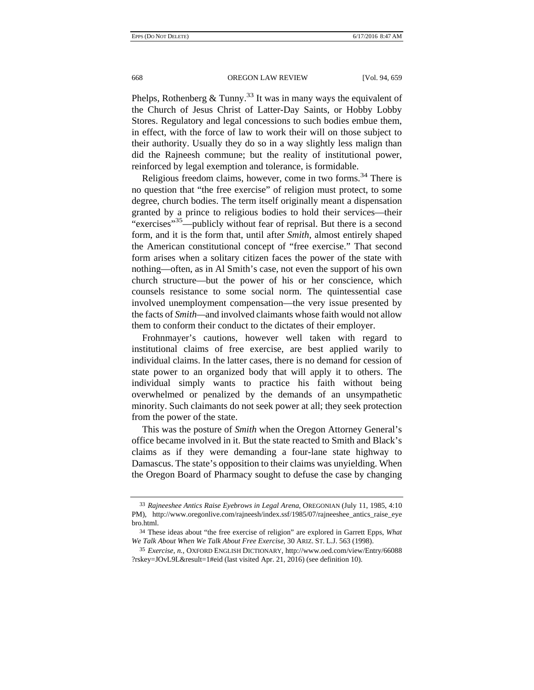Phelps, Rothenberg  $&$  Tunny.<sup>33</sup> It was in many ways the equivalent of the Church of Jesus Christ of Latter-Day Saints, or Hobby Lobby Stores. Regulatory and legal concessions to such bodies embue them, in effect, with the force of law to work their will on those subject to their authority. Usually they do so in a way slightly less malign than did the Rajneesh commune; but the reality of institutional power, reinforced by legal exemption and tolerance, is formidable.

Religious freedom claims, however, come in two forms.<sup>34</sup> There is no question that "the free exercise" of religion must protect, to some degree, church bodies. The term itself originally meant a dispensation granted by a prince to religious bodies to hold their services—their "exercises"<sup>35</sup>—publicly without fear of reprisal. But there is a second form, and it is the form that, until after *Smith*, almost entirely shaped the American constitutional concept of "free exercise." That second form arises when a solitary citizen faces the power of the state with nothing—often, as in Al Smith's case, not even the support of his own church structure—but the power of his or her conscience, which counsels resistance to some social norm. The quintessential case involved unemployment compensation—the very issue presented by the facts of *Smith—*and involved claimants whose faith would not allow them to conform their conduct to the dictates of their employer.

Frohnmayer's cautions, however well taken with regard to institutional claims of free exercise, are best applied warily to individual claims. In the latter cases, there is no demand for cession of state power to an organized body that will apply it to others. The individual simply wants to practice his faith without being overwhelmed or penalized by the demands of an unsympathetic minority. Such claimants do not seek power at all; they seek protection from the power of the state.

This was the posture of *Smith* when the Oregon Attorney General's office became involved in it. But the state reacted to Smith and Black's claims as if they were demanding a four-lane state highway to Damascus. The state's opposition to their claims was unyielding. When the Oregon Board of Pharmacy sought to defuse the case by changing

<sup>33</sup> *Rajneeshee Antics Raise Eyebrows in Legal Arena*, OREGONIAN (July 11, 1985, 4:10 PM), http://www.oregonlive.com/rajneesh/index.ssf/1985/07/rajneeshee\_antics\_raise\_eye bro.html.

<sup>34</sup> These ideas about "the free exercise of religion" are explored in Garrett Epps, *What We Talk About When We Talk About Free Exercise*, 30 ARIZ. ST. L.J. 563 (1998).

<sup>35</sup> *Exercise, n.*, OXFORD ENGLISH DICTIONARY, http://www.oed.com/view/Entry/66088 ?rskey=JOvL9L&result=1#eid (last visited Apr. 21, 2016) (see definition 10).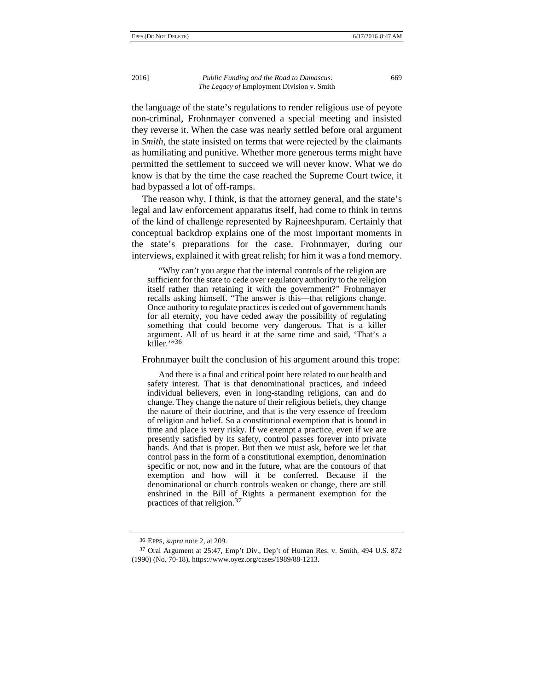the language of the state's regulations to render religious use of peyote non-criminal, Frohnmayer convened a special meeting and insisted they reverse it. When the case was nearly settled before oral argument in *Smith*, the state insisted on terms that were rejected by the claimants as humiliating and punitive. Whether more generous terms might have permitted the settlement to succeed we will never know. What we do know is that by the time the case reached the Supreme Court twice, it had bypassed a lot of off-ramps.

The reason why, I think, is that the attorney general, and the state's legal and law enforcement apparatus itself, had come to think in terms of the kind of challenge represented by Rajneeshpuram. Certainly that conceptual backdrop explains one of the most important moments in the state's preparations for the case. Frohnmayer, during our interviews, explained it with great relish; for him it was a fond memory.

 "Why can't you argue that the internal controls of the religion are sufficient for the state to cede over regulatory authority to the religion itself rather than retaining it with the government?" Frohnmayer recalls asking himself. "The answer is this—that religions change. Once authority to regulate practices is ceded out of government hands for all eternity, you have ceded away the possibility of regulating something that could become very dangerous. That is a killer argument. All of us heard it at the same time and said, 'That's a killer."36

Frohnmayer built the conclusion of his argument around this trope:

 And there is a final and critical point here related to our health and safety interest. That is that denominational practices, and indeed individual believers, even in long-standing religions, can and do change. They change the nature of their religious beliefs, they change the nature of their doctrine, and that is the very essence of freedom of religion and belief. So a constitutional exemption that is bound in time and place is very risky. If we exempt a practice, even if we are presently satisfied by its safety, control passes forever into private hands. And that is proper. But then we must ask, before we let that control pass in the form of a constitutional exemption, denomination specific or not, now and in the future, what are the contours of that exemption and how will it be conferred. Because if the denominational or church controls weaken or change, there are still enshrined in the Bill of Rights a permanent exemption for the practices of that religion.<sup>37</sup>

<sup>36</sup> EPPS, *supra* note 2, at 209.

<sup>37</sup> Oral Argument at 25:47, Emp't Div., Dep't of Human Res. v. Smith, 494 U.S. 872 (1990) (No. 70-18), https://www.oyez.org/cases/1989/88-1213.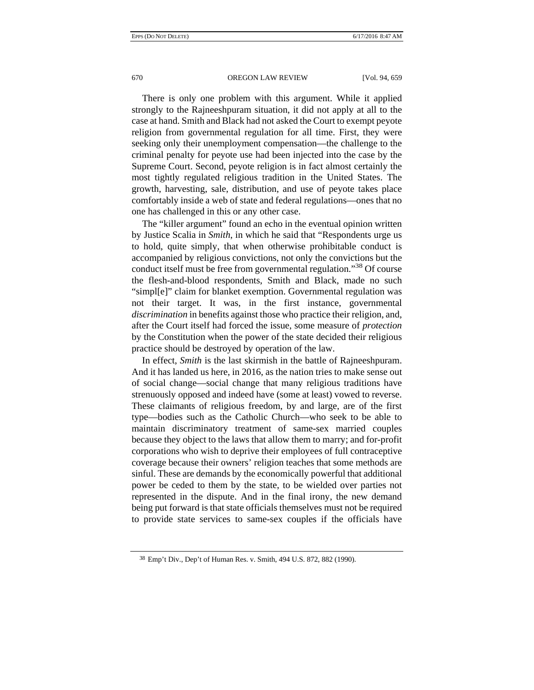## 670 OREGON LAW REVIEW [Vol. 94, 659

There is only one problem with this argument. While it applied strongly to the Rajneeshpuram situation, it did not apply at all to the case at hand. Smith and Black had not asked the Court to exempt peyote religion from governmental regulation for all time. First, they were seeking only their unemployment compensation—the challenge to the criminal penalty for peyote use had been injected into the case by the Supreme Court. Second, peyote religion is in fact almost certainly the most tightly regulated religious tradition in the United States. The growth, harvesting, sale, distribution, and use of peyote takes place comfortably inside a web of state and federal regulations—ones that no one has challenged in this or any other case.

The "killer argument" found an echo in the eventual opinion written by Justice Scalia in *Smith*, in which he said that "Respondents urge us to hold, quite simply, that when otherwise prohibitable conduct is accompanied by religious convictions, not only the convictions but the conduct itself must be free from governmental regulation."38 Of course the flesh-and-blood respondents, Smith and Black, made no such "simpl[e]" claim for blanket exemption. Governmental regulation was not their target. It was, in the first instance, governmental *discrimination* in benefits against those who practice their religion, and, after the Court itself had forced the issue, some measure of *protection* by the Constitution when the power of the state decided their religious practice should be destroyed by operation of the law.

In effect, *Smith* is the last skirmish in the battle of Rajneeshpuram. And it has landed us here, in 2016, as the nation tries to make sense out of social change—social change that many religious traditions have strenuously opposed and indeed have (some at least) vowed to reverse. These claimants of religious freedom, by and large, are of the first type—bodies such as the Catholic Church—who seek to be able to maintain discriminatory treatment of same-sex married couples because they object to the laws that allow them to marry; and for-profit corporations who wish to deprive their employees of full contraceptive coverage because their owners' religion teaches that some methods are sinful. These are demands by the economically powerful that additional power be ceded to them by the state, to be wielded over parties not represented in the dispute. And in the final irony, the new demand being put forward is that state officials themselves must not be required to provide state services to same-sex couples if the officials have

<sup>38</sup> Emp't Div., Dep't of Human Res. v. Smith, 494 U.S. 872, 882 (1990).